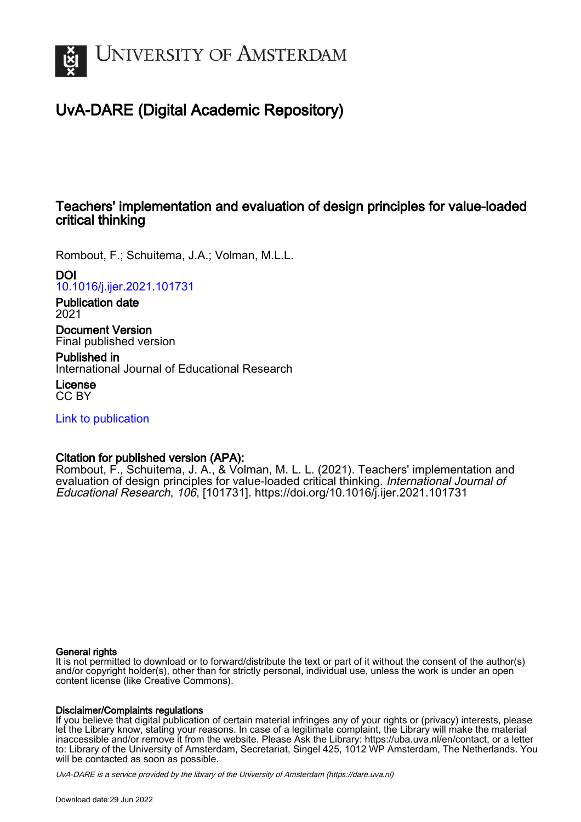

# UvA-DARE (Digital Academic Repository)

## Teachers' implementation and evaluation of design principles for value-loaded critical thinking

Rombout, F.; Schuitema, J.A.; Volman, M.L.L.

## DOI

[10.1016/j.ijer.2021.101731](https://doi.org/10.1016/j.ijer.2021.101731)

Publication date 2021

Document Version Final published version

Published in International Journal of Educational Research

License CC BY

[Link to publication](https://dare.uva.nl/personal/pure/en/publications/teachers-implementation-and-evaluation-of-design-principles-for-valueloaded-critical-thinking(b5ec0ddb-2784-4d1e-92bc-6224217d0fa2).html)

## Citation for published version (APA):

Rombout, F., Schuitema, J. A., & Volman, M. L. L. (2021). Teachers' implementation and evaluation of design principles for value-loaded critical thinking. International Journal of Educational Research, 106, [101731]. <https://doi.org/10.1016/j.ijer.2021.101731>

## General rights

It is not permitted to download or to forward/distribute the text or part of it without the consent of the author(s) and/or copyright holder(s), other than for strictly personal, individual use, unless the work is under an open content license (like Creative Commons).

## Disclaimer/Complaints regulations

If you believe that digital publication of certain material infringes any of your rights or (privacy) interests, please let the Library know, stating your reasons. In case of a legitimate complaint, the Library will make the material inaccessible and/or remove it from the website. Please Ask the Library: https://uba.uva.nl/en/contact, or a letter to: Library of the University of Amsterdam, Secretariat, Singel 425, 1012 WP Amsterdam, The Netherlands. You will be contacted as soon as possible.

UvA-DARE is a service provided by the library of the University of Amsterdam (http*s*://dare.uva.nl)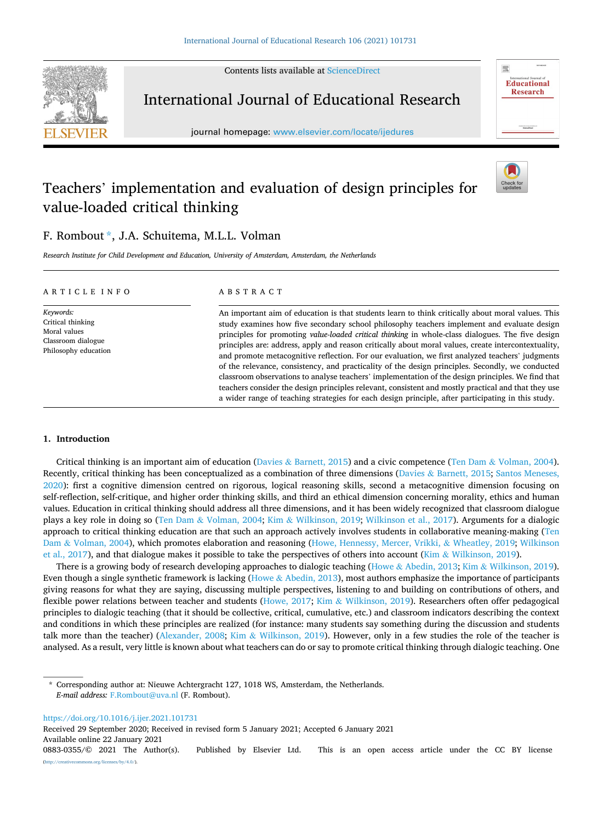Contents lists available at [ScienceDirect](www.sciencedirect.com/science/journal/08830355)



## International Journal of Educational Research

journal homepage: [www.elsevier.com/locate/ijedures](https://www.elsevier.com/locate/ijedures) 

# Check fo

靈

**Educational Research** 

# Teachers' implementation and evaluation of design principles for value-loaded critical thinking



*Research Institute for Child Development and Education, University of Amsterdam, Amsterdam, the Netherlands* 

| ARTICLE INFO                                                                                 | ABSTRACT                                                                                                                                                                                                                                                                                                                                                                                                                                                                                                                                                                                                                                                                                                                |
|----------------------------------------------------------------------------------------------|-------------------------------------------------------------------------------------------------------------------------------------------------------------------------------------------------------------------------------------------------------------------------------------------------------------------------------------------------------------------------------------------------------------------------------------------------------------------------------------------------------------------------------------------------------------------------------------------------------------------------------------------------------------------------------------------------------------------------|
| Keywords:<br>Critical thinking<br>Moral values<br>Classroom dialogue<br>Philosophy education | An important aim of education is that students learn to think critically about moral values. This<br>study examines how five secondary school philosophy teachers implement and evaluate design<br>principles for promoting value-loaded critical thinking in whole-class dialogues. The five design<br>principles are: address, apply and reason critically about moral values, create intercontextuality,<br>and promote metacognitive reflection. For our evaluation, we first analyzed teachers' judgments<br>of the relevance, consistency, and practicality of the design principles. Secondly, we conducted<br>classroom observations to analyse teachers' implementation of the design principles. We find that |

teachers consider the design principles relevant, consistent and mostly practical and that they use a wider range of teaching strategies for each design principle, after participating in this study.

#### **1. Introduction**

Critical thinking is an important aim of education (Davies & [Barnett, 2015](#page-12-0)) and a civic competence (Ten Dam & [Volman, 2004](#page-12-0)). Recently, critical thinking has been conceptualized as a combination of three dimensions (Davies & [Barnett, 2015](#page-12-0); [Santos Meneses,](#page-13-0) [2020\)](#page-13-0): first a cognitive dimension centred on rigorous, logical reasoning skills, second a metacognitive dimension focusing on self-reflection, self-critique, and higher order thinking skills, and third an ethical dimension concerning morality, ethics and human values. Education in critical thinking should address all three dimensions, and it has been widely recognized that classroom dialogue plays a key role in doing so (Ten Dam & [Volman, 2004;](#page-12-0) Kim & [Wilkinson, 2019;](#page-12-0) [Wilkinson et al., 2017](#page-13-0)). Arguments for a dialogic approach to critical thinking education are that such an approach actively involves students in collaborative meaning-making [\(Ten](#page-12-0) Dam & [Volman, 2004\)](#page-12-0), which promotes elaboration and reasoning ([Howe, Hennessy, Mercer, Vrikki,](#page-12-0) & Wheatley, 2019; [Wilkinson](#page-13-0) [et al., 2017](#page-13-0)), and that dialogue makes it possible to take the perspectives of others into account (Kim & [Wilkinson, 2019](#page-12-0)).

There is a growing body of research developing approaches to dialogic teaching (Howe & [Abedin, 2013](#page-12-0); Kim & [Wilkinson, 2019](#page-12-0)). Even though a single synthetic framework is lacking (Howe & [Abedin, 2013](#page-12-0)), most authors emphasize the importance of participants giving reasons for what they are saying, discussing multiple perspectives, listening to and building on contributions of others, and flexible power relations between teacher and students ([Howe, 2017](#page-12-0); Kim & [Wilkinson, 2019](#page-12-0)). Researchers often offer pedagogical principles to dialogic teaching (that it should be collective, critical, cumulative, etc.) and classroom indicators describing the context and conditions in which these principles are realized (for instance: many students say something during the discussion and students talk more than the teacher) [\(Alexander, 2008;](#page-12-0) Kim & [Wilkinson, 2019\)](#page-12-0). However, only in a few studies the role of the teacher is analysed. As a result, very little is known about what teachers can do or say to promote critical thinking through dialogic teaching. One

Corresponding author at: Nieuwe Achtergracht 127, 1018 WS, Amsterdam, the Netherlands. *E-mail address:* [F.Rombout@uva.nl](mailto:F.Rombout@uva.nl) (F. Rombout).

<https://doi.org/10.1016/j.ijer.2021.101731>

Received 29 September 2020; Received in revised form 5 January 2021; Accepted 6 January 2021

Available online 22 January 2021

<sup>0883-0355/© 2021</sup> The Author(s). Published by Elsevier Ltd. This is an open access article under the CC BY license [\(http://creativecommons.org/licenses/by/4.0/\)](http://creativecommons.org/licenses/by/4.0/).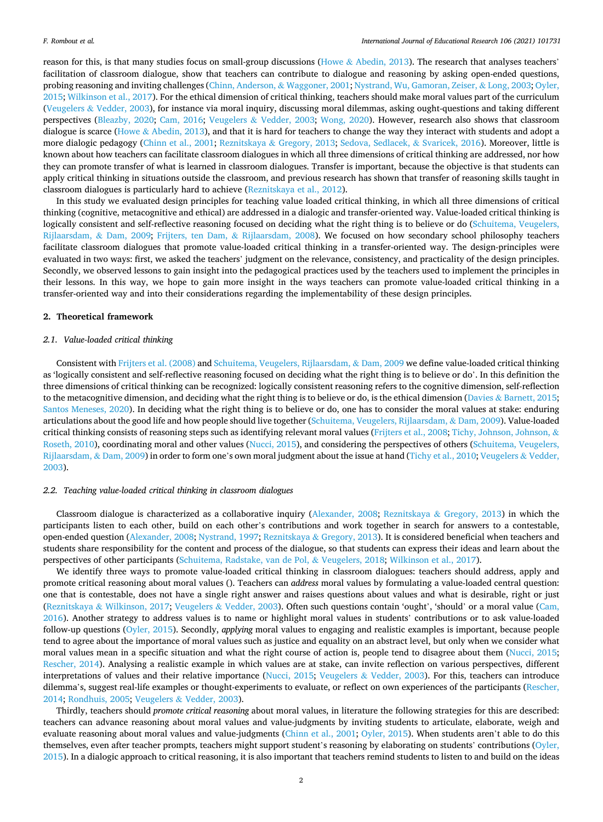reason for this, is that many studies focus on small-group discussions (Howe  $\&$  [Abedin, 2013](#page-12-0)). The research that analyses teachers' facilitation of classroom dialogue, show that teachers can contribute to dialogue and reasoning by asking open-ended questions, probing reasoning and inviting challenges ([Chinn, Anderson,](#page-12-0) & Waggoner, 2001; [Nystrand, Wu, Gamoran, Zeiser,](#page-13-0) & Long, 2003; [Oyler,](#page-13-0) [2015; Wilkinson et al., 2017\)](#page-13-0). For the ethical dimension of critical thinking, teachers should make moral values part of the curriculum (Veugelers & [Vedder, 2003\)](#page-13-0), for instance via moral inquiry, discussing moral dilemmas, asking ought-questions and taking different perspectives [\(Bleazby, 2020](#page-12-0); [Cam, 2016;](#page-12-0) Veugelers & [Vedder, 2003](#page-13-0); [Wong, 2020](#page-13-0)). However, research also shows that classroom dialogue is scarce (Howe & [Abedin, 2013\)](#page-12-0), and that it is hard for teachers to change the way they interact with students and adopt a more dialogic pedagogy [\(Chinn et al., 2001](#page-12-0); Reznitskaya & [Gregory, 2013;](#page-13-0) [Sedova, Sedlacek,](#page-13-0) & Svaricek, 2016). Moreover, little is known about how teachers can facilitate classroom dialogues in which all three dimensions of critical thinking are addressed, nor how they can promote transfer of what is learned in classroom dialogues. Transfer is important, because the objective is that students can apply critical thinking in situations outside the classroom, and previous research has shown that transfer of reasoning skills taught in classroom dialogues is particularly hard to achieve [\(Reznitskaya et al., 2012\)](#page-13-0).

In this study we evaluated design principles for teaching value loaded critical thinking, in which all three dimensions of critical thinking (cognitive, metacognitive and ethical) are addressed in a dialogic and transfer-oriented way. Value-loaded critical thinking is logically consistent and self-reflective reasoning focused on deciding what the right thing is to believe or do [\(Schuitema, Veugelers,](#page-12-0) [Rijlaarsdam,](#page-12-0) & Dam, 2009; [Frijters, ten Dam,](#page-12-0) & Rijlaarsdam, 2008). We focused on how secondary school philosophy teachers facilitate classroom dialogues that promote value-loaded critical thinking in a transfer-oriented way. The design-principles were evaluated in two ways: first, we asked the teachers' judgment on the relevance, consistency, and practicality of the design principles. Secondly, we observed lessons to gain insight into the pedagogical practices used by the teachers used to implement the principles in their lessons. In this way, we hope to gain more insight in the ways teachers can promote value-loaded critical thinking in a transfer-oriented way and into their considerations regarding the implementability of these design principles.

#### **2. Theoretical framework**

#### *2.1. Value-loaded critical thinking*

Consistent with [Frijters et al. \(2008\)](#page-12-0) and [Schuitema, Veugelers, Rijlaarsdam,](#page-12-0) & Dam, 2009 we define value-loaded critical thinking as 'logically consistent and self-reflective reasoning focused on deciding what the right thing is to believe or do'. In this definition the three dimensions of critical thinking can be recognized: logically consistent reasoning refers to the cognitive dimension, self-reflection to the metacognitive dimension, and deciding what the right thing is to believe or do, is the ethical dimension (Davies & [Barnett, 2015](#page-12-0); [Santos Meneses, 2020\)](#page-13-0). In deciding what the right thing is to believe or do, one has to consider the moral values at stake: enduring articulations about the good life and how people should live together [\(Schuitema, Veugelers, Rijlaarsdam,](#page-12-0) & Dam, 2009). Value-loaded critical thinking consists of reasoning steps such as identifying relevant moral values ([Frijters et al., 2008](#page-12-0); [Tichy, Johnson, Johnson,](#page-13-0) & [Roseth, 2010](#page-13-0)), coordinating moral and other values [\(Nucci, 2015\)](#page-13-0), and considering the perspectives of others [\(Schuitema, Veugelers,](#page-12-0) [Rijlaarsdam,](#page-12-0) & Dam, 2009) in order to form one's own moral judgment about the issue at hand [\(Tichy et al., 2010](#page-13-0); [Veugelers](#page-13-0) & Vedder, [2003\)](#page-13-0).

#### *2.2. Teaching value-loaded critical thinking in classroom dialogues*

Classroom dialogue is characterized as a collaborative inquiry ([Alexander, 2008](#page-12-0); Reznitskaya & [Gregory, 2013](#page-13-0)) in which the participants listen to each other, build on each other's contributions and work together in search for answers to a contestable, open-ended question [\(Alexander, 2008](#page-12-0); [Nystrand, 1997;](#page-13-0) Reznitskaya & [Gregory, 2013\)](#page-13-0). It is considered beneficial when teachers and students share responsibility for the content and process of the dialogue, so that students can express their ideas and learn about the perspectives of other participants [\(Schuitema, Radstake, van de Pol,](#page-12-0) & Veugelers, 2018; [Wilkinson et al., 2017](#page-13-0)).

We identify three ways to promote value-loaded critical thinking in classroom dialogues: teachers should address, apply and promote critical reasoning about moral values (). Teachers can *address* moral values by formulating a value-loaded central question: one that is contestable, does not have a single right answer and raises questions about values and what is desirable, right or just (Reznitskaya & [Wilkinson, 2017](#page-13-0); Veugelers & [Vedder, 2003](#page-13-0)). Often such questions contain 'ought', 'should' or a moral value [\(Cam,](#page-12-0) [2016\)](#page-12-0). Another strategy to address values is to name or highlight moral values in students' contributions or to ask value-loaded follow-up questions ([Oyler, 2015](#page-13-0)). Secondly, *applying* moral values to engaging and realistic examples is important, because people tend to agree about the importance of moral values such as justice and equality on an abstract level, but only when we consider what moral values mean in a specific situation and what the right course of action is, people tend to disagree about them [\(Nucci, 2015](#page-13-0); [Rescher, 2014\)](#page-13-0). Analysing a realistic example in which values are at stake, can invite reflection on various perspectives, different interpretations of values and their relative importance [\(Nucci, 2015](#page-13-0); Veugelers & [Vedder, 2003](#page-13-0)). For this, teachers can introduce dilemma's, suggest real-life examples or thought-experiments to evaluate, or reflect on own experiences of the participants [\(Rescher,](#page-13-0) [2014;](#page-13-0) [Rondhuis, 2005](#page-13-0); Veugelers & [Vedder, 2003](#page-13-0)).

Thirdly, teachers should *promote critical reasoning* about moral values, in literature the following strategies for this are described: teachers can advance reasoning about moral values and value-judgments by inviting students to articulate, elaborate, weigh and evaluate reasoning about moral values and value-judgments ([Chinn et al., 2001;](#page-12-0) [Oyler, 2015](#page-13-0)). When students aren't able to do this themselves, even after teacher prompts, teachers might support student's reasoning by elaborating on students' contributions ([Oyler,](#page-13-0) [2015\)](#page-13-0). In a dialogic approach to critical reasoning, it is also important that teachers remind students to listen to and build on the ideas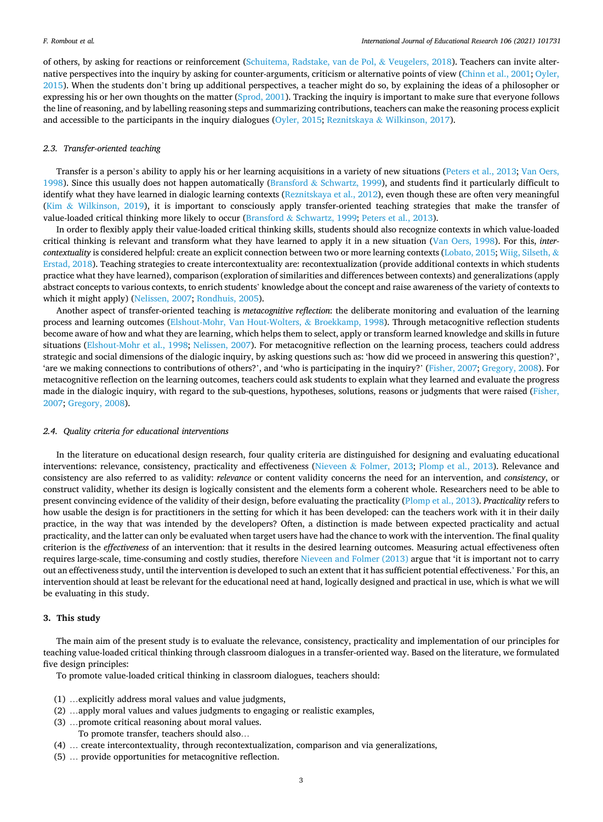of others, by asking for reactions or reinforcement [\(Schuitema, Radstake, van de Pol,](#page-12-0) & Veugelers, 2018). Teachers can invite alternative perspectives into the inquiry by asking for counter-arguments, criticism or alternative points of view [\(Chinn et al., 2001](#page-12-0); [Oyler,](#page-13-0) [2015\)](#page-13-0). When the students don't bring up additional perspectives, a teacher might do so, by explaining the ideas of a philosopher or expressing his or her own thoughts on the matter ([Sprod, 2001\)](#page-13-0). Tracking the inquiry is important to make sure that everyone follows the line of reasoning, and by labelling reasoning steps and summarizing contributions, teachers can make the reasoning process explicit and accessible to the participants in the inquiry dialogues ([Oyler, 2015;](#page-13-0) Reznitskaya & [Wilkinson, 2017](#page-13-0)).

#### *2.3. Transfer-oriented teaching*

Transfer is a person's ability to apply his or her learning acquisitions in a variety of new situations ([Peters et al., 2013](#page-13-0); [Van Oers,](#page-13-0) [1998\)](#page-13-0). Since this usually does not happen automatically (Bransford & [Schwartz, 1999\)](#page-12-0), and students find it particularly difficult to identify what they have learned in dialogic learning contexts [\(Reznitskaya et al., 2012](#page-13-0)), even though these are often very meaningful (Kim & [Wilkinson, 2019](#page-12-0)), it is important to consciously apply transfer-oriented teaching strategies that make the transfer of value-loaded critical thinking more likely to occur (Bransford & [Schwartz, 1999](#page-12-0); [Peters et al., 2013\)](#page-13-0).

In order to flexibly apply their value-loaded critical thinking skills, students should also recognize contexts in which value-loaded critical thinking is relevant and transform what they have learned to apply it in a new situation ([Van Oers, 1998\)](#page-13-0). For this, *intercontextuality* is considered helpful: create an explicit connection between two or more learning contexts [\(Lobato, 2015](#page-13-0); [Wiig, Silseth,](#page-13-0) & [Erstad, 2018](#page-13-0)). Teaching strategies to create intercontextuality are: recontextualization (provide additional contexts in which students practice what they have learned), comparison (exploration of similarities and differences between contexts) and generalizations (apply abstract concepts to various contexts, to enrich students' knowledge about the concept and raise awareness of the variety of contexts to which it might apply) [\(Nelissen, 2007](#page-13-0); [Rondhuis, 2005\)](#page-13-0).

Another aspect of transfer-oriented teaching is *metacognitive reflection*: the deliberate monitoring and evaluation of the learning process and learning outcomes ([Elshout-Mohr, Van Hout-Wolters,](#page-12-0) & Broekkamp, 1998). Through metacognitive reflection students become aware of how and what they are learning, which helps them to select, apply or transform learned knowledge and skills in future situations ([Elshout-Mohr et al., 1998;](#page-12-0) [Nelissen, 2007\)](#page-13-0). For metacognitive reflection on the learning process, teachers could address strategic and social dimensions of the dialogic inquiry, by asking questions such as: 'how did we proceed in answering this question?', 'are we making connections to contributions of others?', and 'who is participating in the inquiry?' [\(Fisher, 2007](#page-12-0); [Gregory, 2008](#page-12-0)). For metacognitive reflection on the learning outcomes, teachers could ask students to explain what they learned and evaluate the progress made in the dialogic inquiry, with regard to the sub-questions, hypotheses, solutions, reasons or judgments that were raised ([Fisher,](#page-12-0) [2007;](#page-12-0) [Gregory, 2008\)](#page-12-0).

#### *2.4. Quality criteria for educational interventions*

In the literature on educational design research, four quality criteria are distinguished for designing and evaluating educational interventions: relevance, consistency, practicality and effectiveness (Nieveen & [Folmer, 2013](#page-13-0); [Plomp et al., 2013](#page-13-0)). Relevance and consistency are also referred to as validity: *relevance* or content validity concerns the need for an intervention, and *consistency*, or construct validity, whether its design is logically consistent and the elements form a coherent whole. Researchers need to be able to present convincing evidence of the validity of their design, before evaluating the practicality ([Plomp et al., 2013\)](#page-13-0). *Practicality* refers to how usable the design is for practitioners in the setting for which it has been developed: can the teachers work with it in their daily practice, in the way that was intended by the developers? Often, a distinction is made between expected practicality and actual practicality, and the latter can only be evaluated when target users have had the chance to work with the intervention. The final quality criterion is the *effectiveness* of an intervention: that it results in the desired learning outcomes. Measuring actual effectiveness often requires large-scale, time-consuming and costly studies, therefore [Nieveen and Folmer \(2013\)](#page-13-0) argue that 'it is important not to carry out an effectiveness study, until the intervention is developed to such an extent that it has sufficient potential effectiveness.' For this, an intervention should at least be relevant for the educational need at hand, logically designed and practical in use, which is what we will be evaluating in this study.

#### **3. This study**

The main aim of the present study is to evaluate the relevance, consistency, practicality and implementation of our principles for teaching value-loaded critical thinking through classroom dialogues in a transfer-oriented way. Based on the literature, we formulated five design principles:

To promote value-loaded critical thinking in classroom dialogues, teachers should:

- (1) …explicitly address moral values and value judgments,
- (2) …apply moral values and values judgments to engaging or realistic examples,
- (3) …promote critical reasoning about moral values.
	- To promote transfer, teachers should also…
- (4) … create intercontextuality, through recontextualization, comparison and via generalizations,
- (5) … provide opportunities for metacognitive reflection.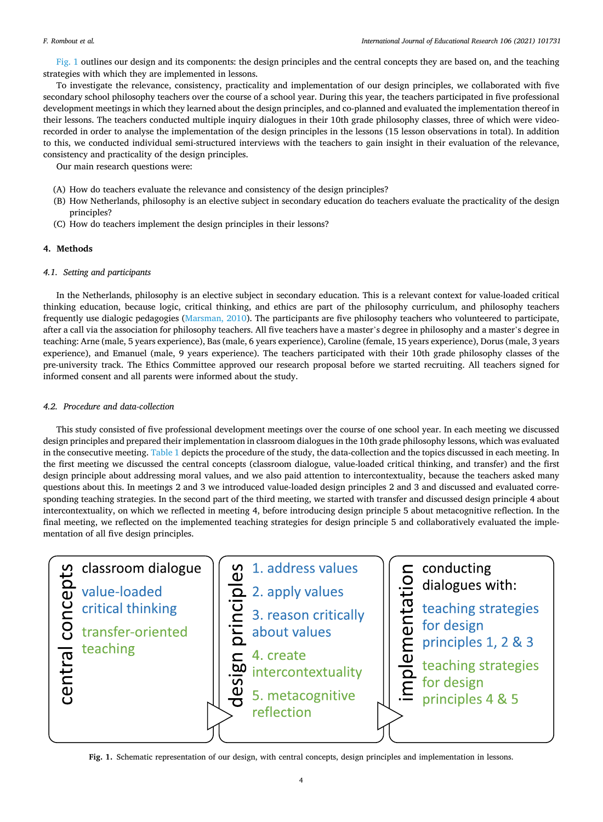Fig. 1 outlines our design and its components: the design principles and the central concepts they are based on, and the teaching strategies with which they are implemented in lessons.

To investigate the relevance, consistency, practicality and implementation of our design principles, we collaborated with five secondary school philosophy teachers over the course of a school year. During this year, the teachers participated in five professional development meetings in which they learned about the design principles, and co-planned and evaluated the implementation thereof in their lessons. The teachers conducted multiple inquiry dialogues in their 10th grade philosophy classes, three of which were videorecorded in order to analyse the implementation of the design principles in the lessons (15 lesson observations in total). In addition to this, we conducted individual semi-structured interviews with the teachers to gain insight in their evaluation of the relevance, consistency and practicality of the design principles.

Our main research questions were:

- (A) How do teachers evaluate the relevance and consistency of the design principles?
- (B) How Netherlands, philosophy is an elective subject in secondary education do teachers evaluate the practicality of the design principles?
- (C) How do teachers implement the design principles in their lessons?

#### **4. Methods**

#### *4.1. Setting and participants*

In the Netherlands, philosophy is an elective subject in secondary education. This is a relevant context for value-loaded critical thinking education, because logic, critical thinking, and ethics are part of the philosophy curriculum, and philosophy teachers frequently use dialogic pedagogies [\(Marsman, 2010\)](#page-13-0). The participants are five philosophy teachers who volunteered to participate, after a call via the association for philosophy teachers. All five teachers have a master's degree in philosophy and a master's degree in teaching: Arne (male, 5 years experience), Bas (male, 6 years experience), Caroline (female, 15 years experience), Dorus (male, 3 years experience), and Emanuel (male, 9 years experience). The teachers participated with their 10th grade philosophy classes of the pre-university track. The Ethics Committee approved our research proposal before we started recruiting. All teachers signed for informed consent and all parents were informed about the study.

#### *4.2. Procedure and data-collection*

This study consisted of five professional development meetings over the course of one school year. In each meeting we discussed design principles and prepared their implementation in classroom dialogues in the 10th grade philosophy lessons, which was evaluated in the consecutive meeting. [Table 1](#page-5-0) depicts the procedure of the study, the data-collection and the topics discussed in each meeting. In the first meeting we discussed the central concepts (classroom dialogue, value-loaded critical thinking, and transfer) and the first design principle about addressing moral values, and we also paid attention to intercontextuality, because the teachers asked many questions about this. In meetings 2 and 3 we introduced value-loaded design principles 2 and 3 and discussed and evaluated corresponding teaching strategies. In the second part of the third meeting, we started with transfer and discussed design principle 4 about intercontextuality, on which we reflected in meeting 4, before introducing design principle 5 about metacognitive reflection. In the final meeting, we reflected on the implemented teaching strategies for design principle 5 and collaboratively evaluated the implementation of all five design principles.



**Fig. 1.** Schematic representation of our design, with central concepts, design principles and implementation in lessons.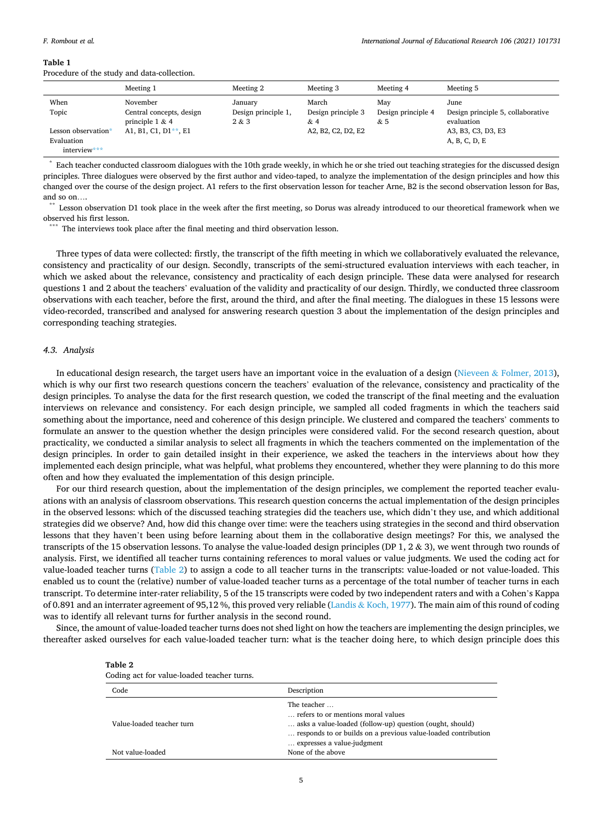#### *International Journal of Educational Research 106 (2021) 101731*

#### <span id="page-5-0"></span>**Table 1**

Procedure of the study and data-collection.

|                     | Meeting 1                | Meeting 2           | Meeting 3          | Meeting 4          | Meeting 5                         |
|---------------------|--------------------------|---------------------|--------------------|--------------------|-----------------------------------|
| When                | November                 | January             | March              | May                | June                              |
| Topic               | Central concepts, design | Design principle 1, | Design principle 3 | Design principle 4 | Design principle 5, collaborative |
|                     | principle $1 & 4$        | 2 & 3               | & 4                | & 5                | evaluation                        |
| Lesson observation* | A1, B1, C1, D1**, E1     |                     | A2, B2, C2, D2, E2 |                    | A3, B3, C3, D3, E3                |
| Evaluation          |                          |                     |                    |                    | A, B, C, D, E                     |
| interview***        |                          |                     |                    |                    |                                   |

Each teacher conducted classroom dialogues with the 10th grade weekly, in which he or she tried out teaching strategies for the discussed design principles. Three dialogues were observed by the first author and video-taped, to analyze the implementation of the design principles and how this changed over the course of the design project. A1 refers to the first observation lesson for teacher Arne, B2 is the second observation lesson for Bas, and so on....<br>\*\* Lesson observation D1 took place in the week after the first meeting, so Dorus was already introduced to our theoretical framework when we

observed his first lesson.<br>\*\*\* The interviews took place after the final meeting and third observation lesson.

Three types of data were collected: firstly, the transcript of the fifth meeting in which we collaboratively evaluated the relevance, consistency and practicality of our design. Secondly, transcripts of the semi-structured evaluation interviews with each teacher, in which we asked about the relevance, consistency and practicality of each design principle. These data were analysed for research questions 1 and 2 about the teachers' evaluation of the validity and practicality of our design. Thirdly, we conducted three classroom observations with each teacher, before the first, around the third, and after the final meeting. The dialogues in these 15 lessons were video-recorded, transcribed and analysed for answering research question 3 about the implementation of the design principles and corresponding teaching strategies.

#### *4.3. Analysis*

In educational design research, the target users have an important voice in the evaluation of a design (Nieveen & [Folmer, 2013](#page-13-0)), which is why our first two research questions concern the teachers' evaluation of the relevance, consistency and practicality of the design principles. To analyse the data for the first research question, we coded the transcript of the final meeting and the evaluation interviews on relevance and consistency. For each design principle, we sampled all coded fragments in which the teachers said something about the importance, need and coherence of this design principle. We clustered and compared the teachers' comments to formulate an answer to the question whether the design principles were considered valid. For the second research question, about practicality, we conducted a similar analysis to select all fragments in which the teachers commented on the implementation of the design principles. In order to gain detailed insight in their experience, we asked the teachers in the interviews about how they implemented each design principle, what was helpful, what problems they encountered, whether they were planning to do this more often and how they evaluated the implementation of this design principle.

For our third research question, about the implementation of the design principles, we complement the reported teacher evaluations with an analysis of classroom observations. This research question concerns the actual implementation of the design principles in the observed lessons: which of the discussed teaching strategies did the teachers use, which didn't they use, and which additional strategies did we observe? And, how did this change over time: were the teachers using strategies in the second and third observation lessons that they haven't been using before learning about them in the collaborative design meetings? For this, we analysed the transcripts of the 15 observation lessons. To analyse the value-loaded design principles (DP 1, 2 & 3), we went through two rounds of analysis. First, we identified all teacher turns containing references to moral values or value judgments. We used the coding act for value-loaded teacher turns (Table 2) to assign a code to all teacher turns in the transcripts: value-loaded or not value-loaded. This enabled us to count the (relative) number of value-loaded teacher turns as a percentage of the total number of teacher turns in each transcript. To determine inter-rater reliability, 5 of the 15 transcripts were coded by two independent raters and with a Cohen's Kappa of 0.891 and an interrater agreement of 95,12 %, this proved very reliable (Landis & [Koch, 1977\)](#page-12-0). The main aim of this round of coding was to identify all relevant turns for further analysis in the second round.

Since, the amount of value-loaded teacher turns does not shed light on how the teachers are implementing the design principles, we thereafter asked ourselves for each value-loaded teacher turn: what is the teacher doing here, to which design principle does this

| abie |  |  |
|------|--|--|
|------|--|--|

|  |  | Coding act for value-loaded teacher turns. |  |
|--|--|--------------------------------------------|--|
|--|--|--------------------------------------------|--|

| Code                      | Description                                                                                                                                                                                                  |
|---------------------------|--------------------------------------------------------------------------------------------------------------------------------------------------------------------------------------------------------------|
| Value-loaded teacher turn | The teacher<br>refers to or mentions moral values<br>asks a value-loaded (follow-up) question (ought, should)<br>responds to or builds on a previous value-loaded contribution<br>expresses a value-judgment |
| Not value-loaded          | None of the above                                                                                                                                                                                            |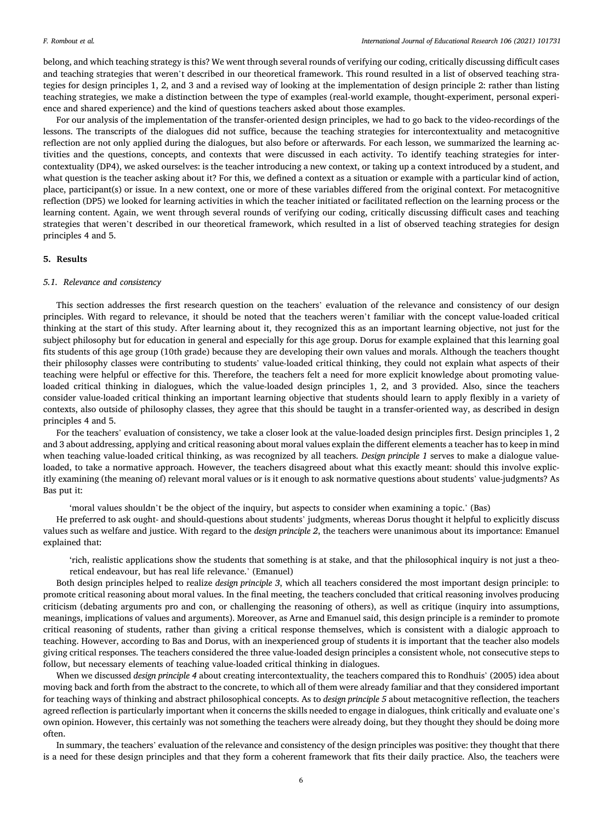belong, and which teaching strategy is this? We went through several rounds of verifying our coding, critically discussing difficult cases and teaching strategies that weren't described in our theoretical framework. This round resulted in a list of observed teaching strategies for design principles 1, 2, and 3 and a revised way of looking at the implementation of design principle 2: rather than listing teaching strategies, we make a distinction between the type of examples (real-world example, thought-experiment, personal experience and shared experience) and the kind of questions teachers asked about those examples.

For our analysis of the implementation of the transfer-oriented design principles, we had to go back to the video-recordings of the lessons. The transcripts of the dialogues did not suffice, because the teaching strategies for intercontextuality and metacognitive reflection are not only applied during the dialogues, but also before or afterwards. For each lesson, we summarized the learning activities and the questions, concepts, and contexts that were discussed in each activity. To identify teaching strategies for intercontextuality (DP4), we asked ourselves: is the teacher introducing a new context, or taking up a context introduced by a student, and what question is the teacher asking about it? For this, we defined a context as a situation or example with a particular kind of action, place, participant(s) or issue. In a new context, one or more of these variables differed from the original context. For metacognitive reflection (DP5) we looked for learning activities in which the teacher initiated or facilitated reflection on the learning process or the learning content. Again, we went through several rounds of verifying our coding, critically discussing difficult cases and teaching strategies that weren't described in our theoretical framework, which resulted in a list of observed teaching strategies for design principles 4 and 5.

#### **5. Results**

#### *5.1. Relevance and consistency*

This section addresses the first research question on the teachers' evaluation of the relevance and consistency of our design principles. With regard to relevance, it should be noted that the teachers weren't familiar with the concept value-loaded critical thinking at the start of this study. After learning about it, they recognized this as an important learning objective, not just for the subject philosophy but for education in general and especially for this age group. Dorus for example explained that this learning goal fits students of this age group (10th grade) because they are developing their own values and morals. Although the teachers thought their philosophy classes were contributing to students' value-loaded critical thinking, they could not explain what aspects of their teaching were helpful or effective for this. Therefore, the teachers felt a need for more explicit knowledge about promoting valueloaded critical thinking in dialogues, which the value-loaded design principles 1, 2, and 3 provided. Also, since the teachers consider value-loaded critical thinking an important learning objective that students should learn to apply flexibly in a variety of contexts, also outside of philosophy classes, they agree that this should be taught in a transfer-oriented way, as described in design principles 4 and 5.

For the teachers' evaluation of consistency, we take a closer look at the value-loaded design principles first. Design principles 1, 2 and 3 about addressing, applying and critical reasoning about moral values explain the different elements a teacher has to keep in mind when teaching value-loaded critical thinking, as was recognized by all teachers. *Design principle 1* serves to make a dialogue valueloaded, to take a normative approach. However, the teachers disagreed about what this exactly meant: should this involve explicitly examining (the meaning of) relevant moral values or is it enough to ask normative questions about students' value-judgments? As Bas put it:

'moral values shouldn't be the object of the inquiry, but aspects to consider when examining a topic.' (Bas)

He preferred to ask ought- and should-questions about students' judgments, whereas Dorus thought it helpful to explicitly discuss values such as welfare and justice. With regard to the *design principle 2*, the teachers were unanimous about its importance: Emanuel explained that:

'rich, realistic applications show the students that something is at stake, and that the philosophical inquiry is not just a theoretical endeavour, but has real life relevance.' (Emanuel)

Both design principles helped to realize *design principle 3*, which all teachers considered the most important design principle: to promote critical reasoning about moral values. In the final meeting, the teachers concluded that critical reasoning involves producing criticism (debating arguments pro and con, or challenging the reasoning of others), as well as critique (inquiry into assumptions, meanings, implications of values and arguments). Moreover, as Arne and Emanuel said, this design principle is a reminder to promote critical reasoning of students, rather than giving a critical response themselves, which is consistent with a dialogic approach to teaching. However, according to Bas and Dorus, with an inexperienced group of students it is important that the teacher also models giving critical responses. The teachers considered the three value-loaded design principles a consistent whole, not consecutive steps to follow, but necessary elements of teaching value-loaded critical thinking in dialogues.

When we discussed *design principle 4* about creating intercontextuality, the teachers compared this to Rondhuis' (2005) idea about moving back and forth from the abstract to the concrete, to which all of them were already familiar and that they considered important for teaching ways of thinking and abstract philosophical concepts. As to *design principle 5* about metacognitive reflection, the teachers agreed reflection is particularly important when it concerns the skills needed to engage in dialogues, think critically and evaluate one's own opinion. However, this certainly was not something the teachers were already doing, but they thought they should be doing more often.

In summary, the teachers' evaluation of the relevance and consistency of the design principles was positive: they thought that there is a need for these design principles and that they form a coherent framework that fits their daily practice. Also, the teachers were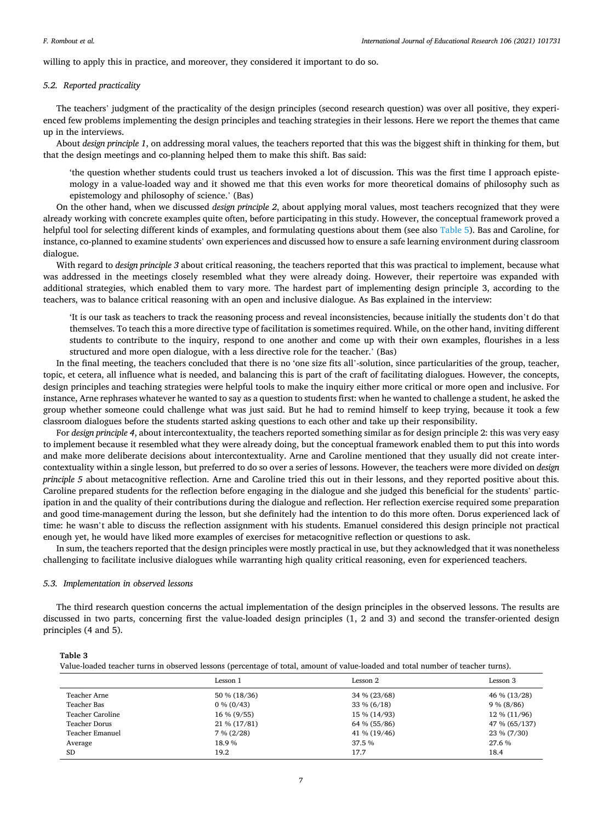<span id="page-7-0"></span>willing to apply this in practice, and moreover, they considered it important to do so.

#### *5.2. Reported practicality*

The teachers' judgment of the practicality of the design principles (second research question) was over all positive, they experienced few problems implementing the design principles and teaching strategies in their lessons. Here we report the themes that came up in the interviews.

About *design principle 1*, on addressing moral values, the teachers reported that this was the biggest shift in thinking for them, but that the design meetings and co-planning helped them to make this shift. Bas said:

'the question whether students could trust us teachers invoked a lot of discussion. This was the first time I approach epistemology in a value-loaded way and it showed me that this even works for more theoretical domains of philosophy such as epistemology and philosophy of science.' (Bas)

On the other hand, when we discussed *design principle 2*, about applying moral values, most teachers recognized that they were already working with concrete examples quite often, before participating in this study. However, the conceptual framework proved a helpful tool for selecting different kinds of examples, and formulating questions about them (see also [Table 5\)](#page-9-0). Bas and Caroline, for instance, co-planned to examine students' own experiences and discussed how to ensure a safe learning environment during classroom dialogue.

With regard to *design principle 3* about critical reasoning, the teachers reported that this was practical to implement, because what was addressed in the meetings closely resembled what they were already doing. However, their repertoire was expanded with additional strategies, which enabled them to vary more. The hardest part of implementing design principle 3, according to the teachers, was to balance critical reasoning with an open and inclusive dialogue. As Bas explained in the interview:

'It is our task as teachers to track the reasoning process and reveal inconsistencies, because initially the students don't do that themselves. To teach this a more directive type of facilitation is sometimes required. While, on the other hand, inviting different students to contribute to the inquiry, respond to one another and come up with their own examples, flourishes in a less structured and more open dialogue, with a less directive role for the teacher.' (Bas)

In the final meeting, the teachers concluded that there is no 'one size fits all'-solution, since particularities of the group, teacher, topic, et cetera, all influence what is needed, and balancing this is part of the craft of facilitating dialogues. However, the concepts, design principles and teaching strategies were helpful tools to make the inquiry either more critical or more open and inclusive. For instance, Arne rephrases whatever he wanted to say as a question to students first: when he wanted to challenge a student, he asked the group whether someone could challenge what was just said. But he had to remind himself to keep trying, because it took a few classroom dialogues before the students started asking questions to each other and take up their responsibility.

For *design principle 4*, about intercontextuality, the teachers reported something similar as for design principle 2: this was very easy to implement because it resembled what they were already doing, but the conceptual framework enabled them to put this into words and make more deliberate decisions about intercontextuality. Arne and Caroline mentioned that they usually did not create intercontextuality within a single lesson, but preferred to do so over a series of lessons. However, the teachers were more divided on *design principle 5* about metacognitive reflection. Arne and Caroline tried this out in their lessons, and they reported positive about this. Caroline prepared students for the reflection before engaging in the dialogue and she judged this beneficial for the students' participation in and the quality of their contributions during the dialogue and reflection. Her reflection exercise required some preparation and good time-management during the lesson, but she definitely had the intention to do this more often. Dorus experienced lack of time: he wasn't able to discuss the reflection assignment with his students. Emanuel considered this design principle not practical enough yet, he would have liked more examples of exercises for metacognitive reflection or questions to ask.

In sum, the teachers reported that the design principles were mostly practical in use, but they acknowledged that it was nonetheless challenging to facilitate inclusive dialogues while warranting high quality critical reasoning, even for experienced teachers.

#### *5.3. Implementation in observed lessons*

The third research question concerns the actual implementation of the design principles in the observed lessons. The results are discussed in two parts, concerning first the value-loaded design principles (1, 2 and 3) and second the transfer-oriented design principles (4 and 5).

**Table 3** 

Value-loaded teacher turns in observed lessons (percentage of total, amount of value-loaded and total number of teacher turns).

|                  | Lesson 1     | Lesson 2      | Lesson 3      |
|------------------|--------------|---------------|---------------|
| Teacher Arne     | 50 % (18/36) | 34 % (23/68)  | 46 % (13/28)  |
| Teacher Bas      | $0\% (0/43)$ | $33\% (6/18)$ | $9\% (8/86)$  |
| Teacher Caroline | 16 % (9/55)  | 15 % (14/93)  | 12 % (11/96)  |
| Teacher Dorus    | 21 % (17/81) | 64 % (55/86)  | 47 % (65/137) |
| Teacher Emanuel  | $7\% (2/28)$ | 41 % (19/46)  | 23 % (7/30)   |
| Average          | 18.9%        | 37.5 %        | 27.6 %        |
| <b>SD</b>        | 19.2         | 17.7          | 18.4          |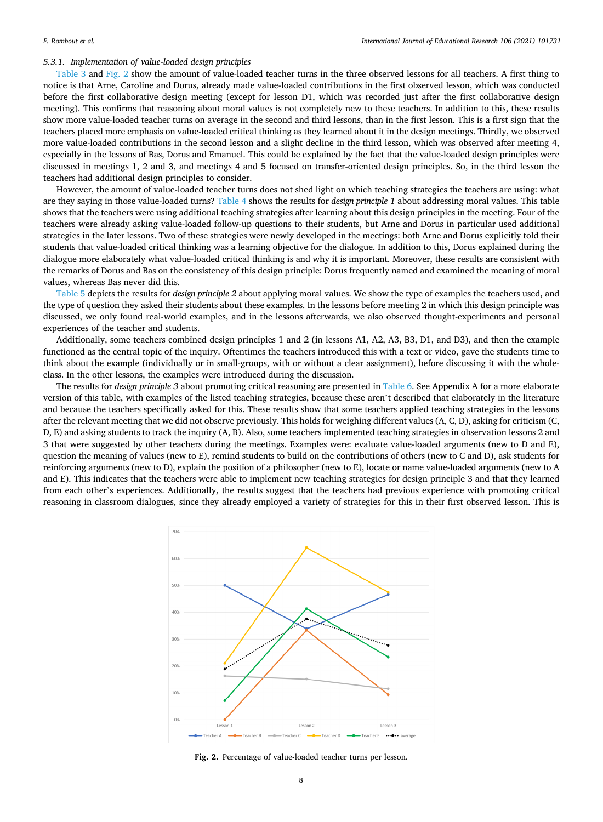#### *5.3.1. Implementation of value-loaded design principles*

[Table 3](#page-7-0) and Fig. 2 show the amount of value-loaded teacher turns in the three observed lessons for all teachers. A first thing to notice is that Arne, Caroline and Dorus, already made value-loaded contributions in the first observed lesson, which was conducted before the first collaborative design meeting (except for lesson D1, which was recorded just after the first collaborative design meeting). This confirms that reasoning about moral values is not completely new to these teachers. In addition to this, these results show more value-loaded teacher turns on average in the second and third lessons, than in the first lesson. This is a first sign that the teachers placed more emphasis on value-loaded critical thinking as they learned about it in the design meetings. Thirdly, we observed more value-loaded contributions in the second lesson and a slight decline in the third lesson, which was observed after meeting 4, especially in the lessons of Bas, Dorus and Emanuel. This could be explained by the fact that the value-loaded design principles were discussed in meetings 1, 2 and 3, and meetings 4 and 5 focused on transfer-oriented design principles. So, in the third lesson the teachers had additional design principles to consider.

However, the amount of value-loaded teacher turns does not shed light on which teaching strategies the teachers are using: what are they saying in those value-loaded turns? [Table 4](#page-9-0) shows the results for *design principle 1* about addressing moral values. This table shows that the teachers were using additional teaching strategies after learning about this design principles in the meeting. Four of the teachers were already asking value-loaded follow-up questions to their students, but Arne and Dorus in particular used additional strategies in the later lessons. Two of these strategies were newly developed in the meetings: both Arne and Dorus explicitly told their students that value-loaded critical thinking was a learning objective for the dialogue. In addition to this, Dorus explained during the dialogue more elaborately what value-loaded critical thinking is and why it is important. Moreover, these results are consistent with the remarks of Dorus and Bas on the consistency of this design principle: Dorus frequently named and examined the meaning of moral values, whereas Bas never did this.

[Table 5](#page-9-0) depicts the results for *design principle 2* about applying moral values. We show the type of examples the teachers used, and the type of question they asked their students about these examples. In the lessons before meeting 2 in which this design principle was discussed, we only found real-world examples, and in the lessons afterwards, we also observed thought-experiments and personal experiences of the teacher and students.

Additionally, some teachers combined design principles 1 and 2 (in lessons A1, A2, A3, B3, D1, and D3), and then the example functioned as the central topic of the inquiry. Oftentimes the teachers introduced this with a text or video, gave the students time to think about the example (individually or in small-groups, with or without a clear assignment), before discussing it with the wholeclass. In the other lessons, the examples were introduced during the discussion.

The results for *design principle 3* about promoting critical reasoning are presented in [Table 6](#page-9-0). See Appendix A for a more elaborate version of this table, with examples of the listed teaching strategies, because these aren't described that elaborately in the literature and because the teachers specifically asked for this. These results show that some teachers applied teaching strategies in the lessons after the relevant meeting that we did not observe previously. This holds for weighing different values (A, C, D), asking for criticism (C, D, E) and asking students to track the inquiry (A, B). Also, some teachers implemented teaching strategies in observation lessons 2 and 3 that were suggested by other teachers during the meetings. Examples were: evaluate value-loaded arguments (new to D and E), question the meaning of values (new to E), remind students to build on the contributions of others (new to C and D), ask students for reinforcing arguments (new to D), explain the position of a philosopher (new to E), locate or name value-loaded arguments (new to A and E). This indicates that the teachers were able to implement new teaching strategies for design principle 3 and that they learned from each other's experiences. Additionally, the results suggest that the teachers had previous experience with promoting critical reasoning in classroom dialogues, since they already employed a variety of strategies for this in their first observed lesson. This is



**Fig. 2.** Percentage of value-loaded teacher turns per lesson.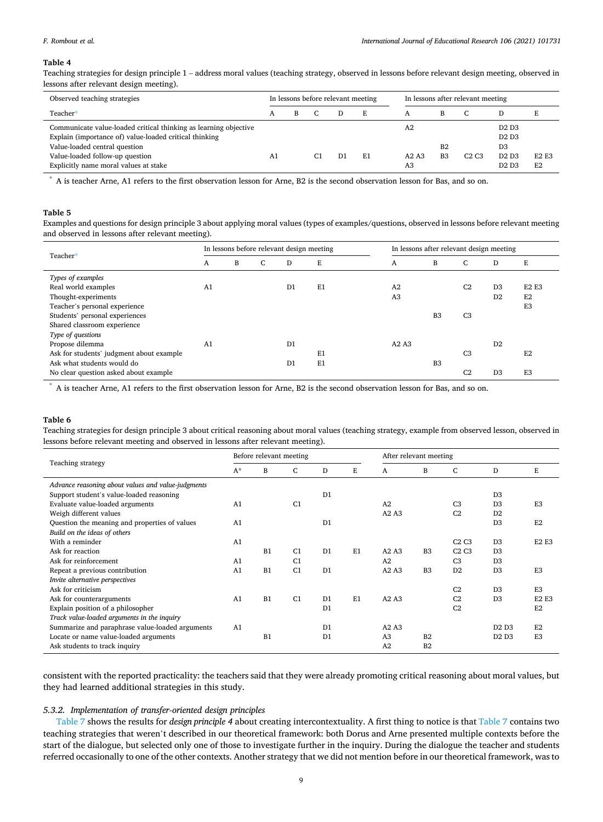#### <span id="page-9-0"></span>*F. Rombout et al.*

#### **Table 4**

Teaching strategies for design principle 1 – address moral values (teaching strategy, observed in lessons before relevant design meeting, observed in lessons after relevant design meeting).

| Observed teaching strategies                                                                                                                                                                                                            |    |   |    | In lessons before relevant meeting |    | In lessons after relevant meeting |                      |      |                                                                                                                                                    |                                |
|-----------------------------------------------------------------------------------------------------------------------------------------------------------------------------------------------------------------------------------------|----|---|----|------------------------------------|----|-----------------------------------|----------------------|------|----------------------------------------------------------------------------------------------------------------------------------------------------|--------------------------------|
| Teacher*                                                                                                                                                                                                                                |    | B |    |                                    | Ε  | A                                 |                      | C    |                                                                                                                                                    |                                |
| Communicate value-loaded critical thinking as learning objective<br>Explain (importance of) value-loaded critical thinking<br>Value-loaded central question<br>Value-loaded follow-up question<br>Explicitly name moral values at stake | A1 |   | C1 | D1                                 | E1 | A <sub>2</sub><br>A2A3<br>A3      | B2<br>B <sub>3</sub> | C2C3 | D <sub>2</sub> D <sub>3</sub><br>D <sub>2</sub> D <sub>3</sub><br>D <sub>3</sub><br>D <sub>2</sub> D <sub>3</sub><br>D <sub>2</sub> D <sub>3</sub> | <b>E2 E3</b><br>E <sub>2</sub> |

\* A is teacher Arne, A1 refers to the first observation lesson for Arne, B2 is the second observation lesson for Bas, and so on.

#### **Table 5**

Examples and questions for design principle 3 about applying moral values (types of examples/questions, observed in lessons before relevant meeting and observed in lessons after relevant meeting).

| Teacher*                                 | In lessons before relevant design meeting |   |    |                |    |  | In lessons after relevant design meeting |                |                |                |                               |  |
|------------------------------------------|-------------------------------------------|---|----|----------------|----|--|------------------------------------------|----------------|----------------|----------------|-------------------------------|--|
|                                          | A                                         | B | C. | D              | E  |  | A                                        | B              | C              | D              | E                             |  |
| Types of examples                        |                                           |   |    |                |    |  |                                          |                |                |                |                               |  |
| Real world examples                      | A <sub>1</sub>                            |   |    | D1             | E1 |  | A2                                       |                | C <sub>2</sub> | D <sub>3</sub> | E <sub>2</sub> E <sub>3</sub> |  |
| Thought-experiments                      |                                           |   |    |                |    |  | A <sub>3</sub>                           |                |                | D <sub>2</sub> | E <sub>2</sub>                |  |
| Teacher's personal experience            |                                           |   |    |                |    |  |                                          |                |                |                | E <sub>3</sub>                |  |
| Students' personal experiences           |                                           |   |    |                |    |  |                                          | B <sub>3</sub> | C <sub>3</sub> |                |                               |  |
| Shared classroom experience              |                                           |   |    |                |    |  |                                          |                |                |                |                               |  |
| Type of questions                        |                                           |   |    |                |    |  |                                          |                |                |                |                               |  |
| Propose dilemma                          | A <sub>1</sub>                            |   |    | D <sub>1</sub> |    |  | A2A3                                     |                |                | D <sub>2</sub> |                               |  |
| Ask for students' judgment about example |                                           |   |    |                | E1 |  |                                          |                | C <sub>3</sub> |                | E <sub>2</sub>                |  |
| Ask what students would do               |                                           |   |    | D <sub>1</sub> | E1 |  |                                          | B <sub>3</sub> |                |                |                               |  |
| No clear question asked about example    |                                           |   |    |                |    |  |                                          |                | C <sub>2</sub> | D <sub>3</sub> | E <sub>3</sub>                |  |

\* A is teacher Arne, A1 refers to the first observation lesson for Arne, B2 is the second observation lesson for Bas, and so on.

#### **Table 6**

Teaching strategies for design principle 3 about critical reasoning about moral values (teaching strategy, example from observed lesson, observed in lessons before relevant meeting and observed in lessons after relevant meeting).

|                                                    |                | Before relevant meeting |                |                |    | After relevant meeting |                |                |                               |                               |  |
|----------------------------------------------------|----------------|-------------------------|----------------|----------------|----|------------------------|----------------|----------------|-------------------------------|-------------------------------|--|
| Teaching strategy                                  | $A^*$          | B                       | $\mathsf{C}$   | D              | E. | A                      | B              | $\mathsf{C}$   | D                             | E                             |  |
| Advance reasoning about values and value-judgments |                |                         |                |                |    |                        |                |                |                               |                               |  |
| Support student's value-loaded reasoning           |                |                         |                | D <sub>1</sub> |    |                        |                |                | D.3                           |                               |  |
| Evaluate value-loaded arguments                    | A <sub>1</sub> |                         | C1             |                |    | A2                     |                | C <sub>3</sub> | D.3                           | E <sub>3</sub>                |  |
| Weigh different values                             |                |                         |                |                |    | A2A3                   |                | C <sub>2</sub> | D2                            |                               |  |
| Question the meaning and properties of values      | A1             |                         |                | D <sub>1</sub> |    |                        |                |                | D <sub>3</sub>                | E <sub>2</sub>                |  |
| Build on the ideas of others                       |                |                         |                |                |    |                        |                |                |                               |                               |  |
| With a reminder                                    | A1             |                         |                |                |    |                        |                | C2C3           | D <sub>3</sub>                | E <sub>2</sub> E <sub>3</sub> |  |
| Ask for reaction                                   |                | B1                      | C <sub>1</sub> | D <sub>1</sub> | E1 | A2A3                   | B <sub>3</sub> | C2C3           | D.3                           |                               |  |
| Ask for reinforcement                              | A <sub>1</sub> |                         | C1             |                |    | A2                     |                | C <sub>3</sub> | D.3                           |                               |  |
| Repeat a previous contribution                     | A <sub>1</sub> | B1                      | C1             | D <sub>1</sub> |    | A2A3                   | B <sub>3</sub> | D <sub>2</sub> | D.3                           | E <sub>3</sub>                |  |
| Invite alternative perspectives                    |                |                         |                |                |    |                        |                |                |                               |                               |  |
| Ask for criticism                                  |                |                         |                |                |    |                        |                | C <sub>2</sub> | D <sub>3</sub>                | E <sub>3</sub>                |  |
| Ask for counterarguments                           | A <sub>1</sub> | B1                      | C1             | D <sub>1</sub> | E1 | A2A3                   |                | C <sub>2</sub> | D.3                           | <b>E2 E3</b>                  |  |
| Explain position of a philosopher                  |                |                         |                | D <sub>1</sub> |    |                        |                | C <sub>2</sub> |                               | E <sub>2</sub>                |  |
| Track value-loaded arguments in the inquiry        |                |                         |                |                |    |                        |                |                |                               |                               |  |
| Summarize and paraphrase value-loaded arguments    | A <sub>1</sub> |                         |                | D <sub>1</sub> |    | A2A3                   |                |                | D <sub>2</sub> D <sub>3</sub> | E <sub>2</sub>                |  |
| Locate or name value-loaded arguments              |                | B1                      |                | D <sub>1</sub> |    | A <sub>3</sub>         | B2             |                | D <sub>2</sub> D <sub>3</sub> | E <sub>3</sub>                |  |
| Ask students to track inquiry                      |                |                         |                |                |    | A2                     | B <sub>2</sub> |                |                               |                               |  |

consistent with the reported practicality: the teachers said that they were already promoting critical reasoning about moral values, but they had learned additional strategies in this study.

#### *5.3.2. Implementation of transfer-oriented design principles*

[Table 7](#page-10-0) shows the results for *design principle 4* about creating intercontextuality. A first thing to notice is that [Table 7](#page-10-0) contains two teaching strategies that weren't described in our theoretical framework: both Dorus and Arne presented multiple contexts before the start of the dialogue, but selected only one of those to investigate further in the inquiry. During the dialogue the teacher and students referred occasionally to one of the other contexts. Another strategy that we did not mention before in our theoretical framework, was to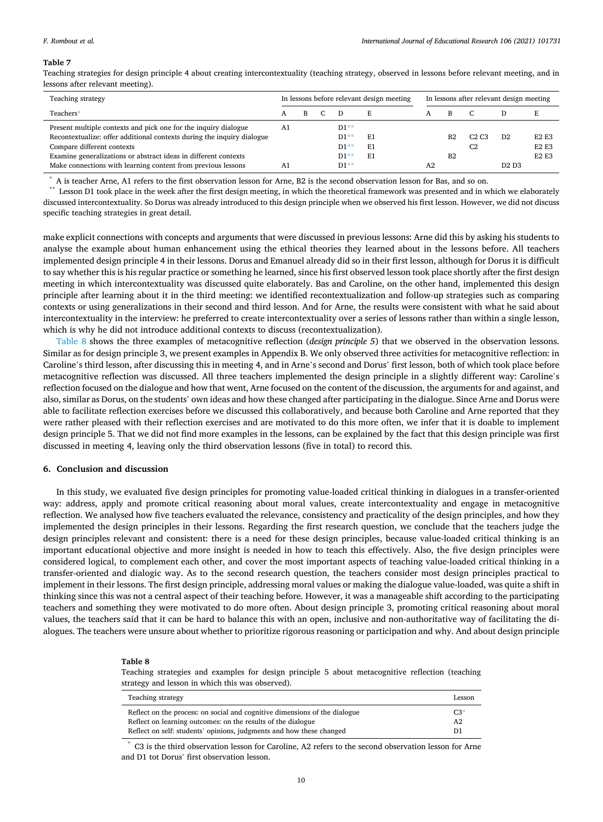#### <span id="page-10-0"></span>*F. Rombout et al.*

#### **Table 7**

Teaching strategies for design principle 4 about creating intercontextuality (teaching strategy, observed in lessons before relevant meeting, and in lessons after relevant meeting).

| Teaching strategy                                                      |    | In lessons before relevant design meeting |  |        |    | In lessons after relevant design meeting |                |                               |                               |                               |
|------------------------------------------------------------------------|----|-------------------------------------------|--|--------|----|------------------------------------------|----------------|-------------------------------|-------------------------------|-------------------------------|
| Teachers*                                                              | А  | В                                         |  |        |    | A                                        | B              |                               |                               |                               |
| Present multiple contexts and pick one for the inquiry dialogue        | A1 |                                           |  | $D1**$ |    |                                          |                |                               |                               |                               |
| Recontextualize: offer additional contexts during the inquiry dialogue |    |                                           |  | $D1**$ | E1 |                                          | B2             | C <sub>2</sub> C <sub>3</sub> | D2                            | <b>E2 E3</b>                  |
| Compare different contexts                                             |    |                                           |  | $D1**$ | E1 |                                          |                | C <sub>2</sub>                |                               | E <sub>2</sub> E <sub>3</sub> |
| Examine generalizations or abstract ideas in different contexts        |    |                                           |  | D1**   | E1 |                                          | B <sub>2</sub> |                               |                               | <b>E2 E3</b>                  |
| Make connections with learning content from previous lessons           | A٦ |                                           |  | $D1**$ |    | A2                                       |                |                               | D <sub>2</sub> D <sub>3</sub> |                               |

A is teacher Arne, A1 refers to the first observation lesson for Arne, B2 is the second observation lesson for Bas, and so on.<br>Lesson D1 took place in the week after the first design meeting, in which the theoretical frame

discussed intercontextuality. So Dorus was already introduced to this design principle when we observed his first lesson. However, we did not discuss specific teaching strategies in great detail.

make explicit connections with concepts and arguments that were discussed in previous lessons: Arne did this by asking his students to analyse the example about human enhancement using the ethical theories they learned about in the lessons before. All teachers implemented design principle 4 in their lessons. Dorus and Emanuel already did so in their first lesson, although for Dorus it is difficult to say whether this is his regular practice or something he learned, since his first observed lesson took place shortly after the first design meeting in which intercontextuality was discussed quite elaborately. Bas and Caroline, on the other hand, implemented this design principle after learning about it in the third meeting: we identified recontextualization and follow-up strategies such as comparing contexts or using generalizations in their second and third lesson. And for Arne, the results were consistent with what he said about intercontextuality in the interview: he preferred to create intercontextuality over a series of lessons rather than within a single lesson, which is why he did not introduce additional contexts to discuss (recontextualization).

Table 8 shows the three examples of metacognitive reflection (*design principle 5*) that we observed in the observation lessons. Similar as for design principle 3, we present examples in Appendix B. We only observed three activities for metacognitive reflection: in Caroline's third lesson, after discussing this in meeting 4, and in Arne's second and Dorus' first lesson, both of which took place before metacognitive reflection was discussed. All three teachers implemented the design principle in a slightly different way: Caroline's reflection focused on the dialogue and how that went, Arne focused on the content of the discussion, the arguments for and against, and also, similar as Dorus, on the students' own ideas and how these changed after participating in the dialogue. Since Arne and Dorus were able to facilitate reflection exercises before we discussed this collaboratively, and because both Caroline and Arne reported that they were rather pleased with their reflection exercises and are motivated to do this more often, we infer that it is doable to implement design principle 5. That we did not find more examples in the lessons, can be explained by the fact that this design principle was first discussed in meeting 4, leaving only the third observation lessons (five in total) to record this.

#### **6. Conclusion and discussion**

In this study, we evaluated five design principles for promoting value-loaded critical thinking in dialogues in a transfer-oriented way: address, apply and promote critical reasoning about moral values, create intercontextuality and engage in metacognitive reflection. We analysed how five teachers evaluated the relevance, consistency and practicality of the design principles, and how they implemented the design principles in their lessons. Regarding the first research question, we conclude that the teachers judge the design principles relevant and consistent: there is a need for these design principles, because value-loaded critical thinking is an important educational objective and more insight is needed in how to teach this effectively. Also, the five design principles were considered logical, to complement each other, and cover the most important aspects of teaching value-loaded critical thinking in a transfer-oriented and dialogic way. As to the second research question, the teachers consider most design principles practical to implement in their lessons. The first design principle, addressing moral values or making the dialogue value-loaded, was quite a shift in thinking since this was not a central aspect of their teaching before. However, it was a manageable shift according to the participating teachers and something they were motivated to do more often. About design principle 3, promoting critical reasoning about moral values, the teachers said that it can be hard to balance this with an open, inclusive and non-authoritative way of facilitating the dialogues. The teachers were unsure about whether to prioritize rigorous reasoning or participation and why. And about design principle

#### **Table 8**

Teaching strategies and examples for design principle 5 about metacognitive reflection (teaching strategy and lesson in which this was observed).

| Teaching strategy                                                          | Lesson |
|----------------------------------------------------------------------------|--------|
| Reflect on the process: on social and cognitive dimensions of the dialogue | $C3*$  |
| Reflect on learning outcomes: on the results of the dialogue               | A2     |
| Reflect on self: students' opinions, judgments and how these changed       | D1     |

\* C3 is the third observation lesson for Caroline, A2 refers to the second observation lesson for Arne and D1 tot Dorus' first observation lesson.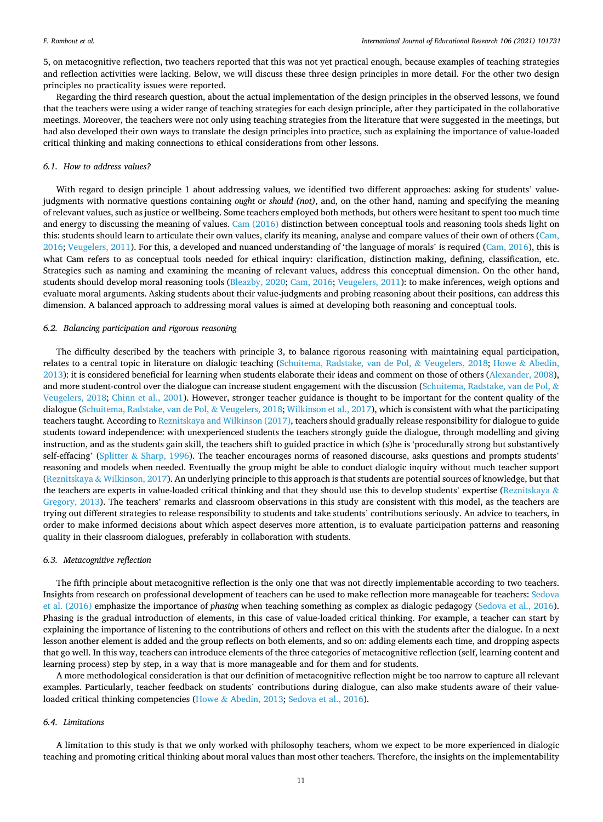5, on metacognitive reflection, two teachers reported that this was not yet practical enough, because examples of teaching strategies and reflection activities were lacking. Below, we will discuss these three design principles in more detail. For the other two design principles no practicality issues were reported.

Regarding the third research question, about the actual implementation of the design principles in the observed lessons, we found that the teachers were using a wider range of teaching strategies for each design principle, after they participated in the collaborative meetings. Moreover, the teachers were not only using teaching strategies from the literature that were suggested in the meetings, but had also developed their own ways to translate the design principles into practice, such as explaining the importance of value-loaded critical thinking and making connections to ethical considerations from other lessons.

#### *6.1. How to address values?*

With regard to design principle 1 about addressing values, we identified two different approaches: asking for students' valuejudgments with normative questions containing *ought* or *should (not)*, and, on the other hand, naming and specifying the meaning of relevant values, such as justice or wellbeing. Some teachers employed both methods, but others were hesitant to spent too much time and energy to discussing the meaning of values. [Cam \(2016\)](#page-12-0) distinction between conceptual tools and reasoning tools sheds light on this: students should learn to articulate their own values, clarify its meaning, analyse and compare values of their own of others [\(Cam,](#page-12-0) [2016;](#page-12-0) [Veugelers, 2011](#page-13-0)). For this, a developed and nuanced understanding of 'the language of morals' is required [\(Cam, 2016](#page-12-0)), this is what Cam refers to as conceptual tools needed for ethical inquiry: clarification, distinction making, defining, classification, etc. Strategies such as naming and examining the meaning of relevant values, address this conceptual dimension. On the other hand, students should develop moral reasoning tools ([Bleazby, 2020; Cam, 2016;](#page-12-0) [Veugelers, 2011\)](#page-13-0): to make inferences, weigh options and evaluate moral arguments. Asking students about their value-judgments and probing reasoning about their positions, can address this dimension. A balanced approach to addressing moral values is aimed at developing both reasoning and conceptual tools.

#### *6.2. Balancing participation and rigorous reasoning*

The difficulty described by the teachers with principle 3, to balance rigorous reasoning with maintaining equal participation, relates to a central topic in literature on dialogic teaching ([Schuitema, Radstake, van de Pol,](#page-12-0) & Veugelers, 2018; Howe & [Abedin,](#page-12-0) [2013\)](#page-12-0): it is considered beneficial for learning when students elaborate their ideas and comment on those of others [\(Alexander, 2008](#page-12-0)), and more student-control over the dialogue can increase student engagement with the discussion ([Schuitema, Radstake, van de Pol,](#page-12-0) & [Veugelers, 2018](#page-12-0); [Chinn et al., 2001](#page-12-0)). However, stronger teacher guidance is thought to be important for the content quality of the dialogue [\(Schuitema, Radstake, van de Pol,](#page-12-0) & Veugelers, 2018; [Wilkinson et al., 2017](#page-13-0)), which is consistent with what the participating teachers taught. According to [Reznitskaya and Wilkinson \(2017\),](#page-13-0) teachers should gradually release responsibility for dialogue to guide students toward independence: with unexperienced students the teachers strongly guide the dialogue, through modelling and giving instruction, and as the students gain skill, the teachers shift to guided practice in which (s)he is 'procedurally strong but substantively self-effacing' (Splitter & [Sharp, 1996\)](#page-13-0). The teacher encourages norms of reasoned discourse, asks questions and prompts students' reasoning and models when needed. Eventually the group might be able to conduct dialogic inquiry without much teacher support (Reznitskaya & [Wilkinson, 2017\)](#page-13-0). An underlying principle to this approach is that students are potential sources of knowledge, but that the teachers are experts in value-loaded critical thinking and that they should use this to develop students' expertise ([Reznitskaya](#page-13-0)  $\&$ [Gregory, 2013](#page-13-0)). The teachers' remarks and classroom observations in this study are consistent with this model, as the teachers are trying out different strategies to release responsibility to students and take students' contributions seriously. An advice to teachers, in order to make informed decisions about which aspect deserves more attention, is to evaluate participation patterns and reasoning quality in their classroom dialogues, preferably in collaboration with students.

#### *6.3. Metacognitive reflection*

The fifth principle about metacognitive reflection is the only one that was not directly implementable according to two teachers. Insights from research on professional development of teachers can be used to make reflection more manageable for teachers: [Sedova](#page-13-0) [et al. \(2016\)](#page-13-0) emphasize the importance of *phasing* when teaching something as complex as dialogic pedagogy [\(Sedova et al., 2016](#page-13-0)). Phasing is the gradual introduction of elements, in this case of value-loaded critical thinking. For example, a teacher can start by explaining the importance of listening to the contributions of others and reflect on this with the students after the dialogue. In a next lesson another element is added and the group reflects on both elements, and so on: adding elements each time, and dropping aspects that go well. In this way, teachers can introduce elements of the three categories of metacognitive reflection (self, learning content and learning process) step by step, in a way that is more manageable and for them and for students.

A more methodological consideration is that our definition of metacognitive reflection might be too narrow to capture all relevant examples. Particularly, teacher feedback on students' contributions during dialogue, can also make students aware of their valueloaded critical thinking competencies (Howe & [Abedin, 2013;](#page-12-0) [Sedova et al., 2016](#page-13-0)).

#### *6.4. Limitations*

A limitation to this study is that we only worked with philosophy teachers, whom we expect to be more experienced in dialogic teaching and promoting critical thinking about moral values than most other teachers. Therefore, the insights on the implementability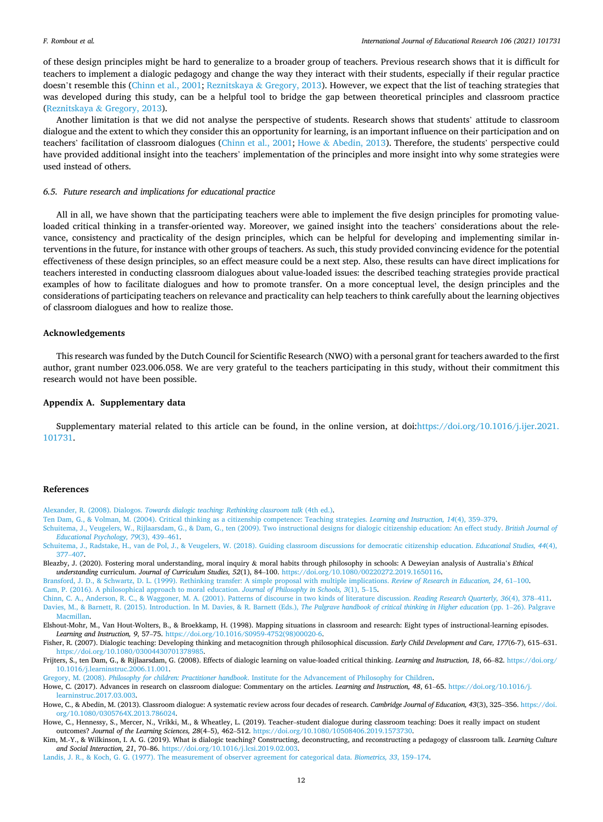<span id="page-12-0"></span>of these design principles might be hard to generalize to a broader group of teachers. Previous research shows that it is difficult for teachers to implement a dialogic pedagogy and change the way they interact with their students, especially if their regular practice doesn't resemble this (Chinn et al., 2001; Reznitskaya & [Gregory, 2013](#page-13-0)). However, we expect that the list of teaching strategies that was developed during this study, can be a helpful tool to bridge the gap between theoretical principles and classroom practice (Reznitskaya & [Gregory, 2013](#page-13-0)).

Another limitation is that we did not analyse the perspective of students. Research shows that students' attitude to classroom dialogue and the extent to which they consider this an opportunity for learning, is an important influence on their participation and on teachers' facilitation of classroom dialogues (Chinn et al., 2001; Howe & Abedin, 2013). Therefore, the students' perspective could have provided additional insight into the teachers' implementation of the principles and more insight into why some strategies were used instead of others.

#### *6.5. Future research and implications for educational practice*

All in all, we have shown that the participating teachers were able to implement the five design principles for promoting valueloaded critical thinking in a transfer-oriented way. Moreover, we gained insight into the teachers' considerations about the relevance, consistency and practicality of the design principles, which can be helpful for developing and implementing similar interventions in the future, for instance with other groups of teachers. As such, this study provided convincing evidence for the potential effectiveness of these design principles, so an effect measure could be a next step. Also, these results can have direct implications for teachers interested in conducting classroom dialogues about value-loaded issues: the described teaching strategies provide practical examples of how to facilitate dialogues and how to promote transfer. On a more conceptual level, the design principles and the considerations of participating teachers on relevance and practicality can help teachers to think carefully about the learning objectives of classroom dialogues and how to realize those.

#### **Acknowledgements**

This research was funded by the Dutch Council for Scientific Research (NWO) with a personal grant for teachers awarded to the first author, grant number 023.006.058. We are very grateful to the teachers participating in this study, without their commitment this research would not have been possible.

### **Appendix A. Supplementary data**

Supplementary material related to this article can be found, in the online version, at doi:[https://doi.org/10.1016/j.ijer.2021.](https://doi.org/10.1016/j.ijer.2021.101731) [101731.](https://doi.org/10.1016/j.ijer.2021.101731)

#### **References**

Alexander, R. (2008). Dialogos. *[Towards dialogic teaching: Rethinking classroom talk](http://refhub.elsevier.com/S0883-0355(21)00001-X/sbref0005)* (4th ed.).

[Ten Dam, G., & Volman, M. \(2004\). Critical thinking as a citizenship competence: Teaching strategies.](http://refhub.elsevier.com/S0883-0355(21)00001-X/sbref0010) *Learning and Instruction, 14*(4), 359–379.

- [Schuitema, J., Veugelers, W., Rijlaarsdam, G., & Dam, G., ten \(2009\). Two instructional designs for dialogic citizenship education: An effect study.](http://refhub.elsevier.com/S0883-0355(21)00001-X/sbref0015) *British Journal of [Educational Psychology, 79](http://refhub.elsevier.com/S0883-0355(21)00001-X/sbref0015)*(3), 439–461. [Schuitema, J., Radstake, H., van de Pol, J., & Veugelers, W. \(2018\). Guiding classroom discussions for democratic citizenship education.](http://refhub.elsevier.com/S0883-0355(21)00001-X/sbref0020) *Educational Studies, 44*(4),
- 377–[407.](http://refhub.elsevier.com/S0883-0355(21)00001-X/sbref0020)
- Bleazby, J. (2020). Fostering moral understanding, moral inquiry & moral habits through philosophy in schools: A Deweyian analysis of Australia's *Ethical understanding* curriculum. *Journal of Curriculum Studies, 52*(1), 84–100. <https://doi.org/10.1080/00220272.2019.1650116>.

[Bransford, J. D., & Schwartz, D. L. \(1999\). Rethinking transfer: A simple proposal with multiple implications.](http://refhub.elsevier.com/S0883-0355(21)00001-X/sbref0030) *Review of Research in Education, 24*, 61–100. [Cam, P. \(2016\). A philosophical approach to moral education.](http://refhub.elsevier.com/S0883-0355(21)00001-X/sbref0035) *Journal of Philosophy in Schools, 3*(1), 5–15.

[Chinn, C. A., Anderson, R. C., & Waggoner, M. A. \(2001\). Patterns of discourse in two kinds of literature discussion.](http://refhub.elsevier.com/S0883-0355(21)00001-X/sbref0040) *Reading Research Quarterly, 36*(4), 378–411. [Davies, M., & Barnett, R. \(2015\). Introduction. In M. Davies, & R. Barnett \(Eds.\),](http://refhub.elsevier.com/S0883-0355(21)00001-X/sbref0045) *The Palgrave handbook of critical thinking in Higher education* (pp. 1–26). Palgrave [Macmillan.](http://refhub.elsevier.com/S0883-0355(21)00001-X/sbref0045)

Elshout-Mohr, M., Van Hout-Wolters, B., & Broekkamp, H. (1998). Mapping situations in classroom and research: Eight types of instructional-learning episodes. *Learning and Instruction, 9*, 57–75. [https://doi.org/10.1016/S0959-4752\(98\)00020-6.](https://doi.org/10.1016/S0959-4752(98)00020-6)

- Fisher, R. (2007). Dialogic teaching: Developing thinking and metacognition through philosophical discussion. *Early Child Development and Care, 177*(6-7), 615–631. [https://doi.org/10.1080/03004430701378985.](https://doi.org/10.1080/03004430701378985)
- Frijters, S., ten Dam, G., & Rijlaarsdam, G. (2008). Effects of dialogic learning on value-loaded critical thinking. *Learning and Instruction, 18*, 66–82. [https://doi.org/](https://doi.org/10.1016/j.learninstruc.2006.11.001) [10.1016/j.learninstruc.2006.11.001](https://doi.org/10.1016/j.learninstruc.2006.11.001).

Gregory, M. (2008). *Philosophy for children: Practitioner handbook*[. Institute for the Advancement of Philosophy for Children.](http://refhub.elsevier.com/S0883-0355(21)00001-X/sbref0065)

Howe, C. (2017). Advances in research on classroom dialogue: Commentary on the articles. *Learning and Instruction, 48*, 61–65. [https://doi.org/10.1016/j.](https://doi.org/10.1016/j.learninstruc.2017.03.003)  [learninstruc.2017.03.003](https://doi.org/10.1016/j.learninstruc.2017.03.003).

- Howe, C., & Abedin, M. (2013). Classroom dialogue: A systematic review across four decades of research. *Cambridge Journal of Education, 43*(3), 325–356. [https://doi.](https://doi.org/10.1080/0305764X.2013.786024) [org/10.1080/0305764X.2013.786024](https://doi.org/10.1080/0305764X.2013.786024).
- Howe, C., Hennessy, S., Mercer, N., Vrikki, M., & Wheatley, L. (2019). Teacher–student dialogue during classroom teaching: Does it really impact on student outcomes? *Journal of the Learning Sciences, 28*(4–5), 462–512. <https://doi.org/10.1080/10508406.2019.1573730>.
- Kim, M.-Y., & Wilkinson, I. A. G. (2019). What is dialogic teaching? Constructing, deconstructing, and reconstructing a pedagogy of classroom talk. *Learning Culture and Social Interaction, 21*, 70–86. [https://doi.org/10.1016/j.lcsi.2019.02.003.](https://doi.org/10.1016/j.lcsi.2019.02.003)

[Landis, J. R., & Koch, G. G. \(1977\). The measurement of observer agreement for categorical data.](http://refhub.elsevier.com/S0883-0355(21)00001-X/sbref0090) *Biometrics, 33*, 159–174.